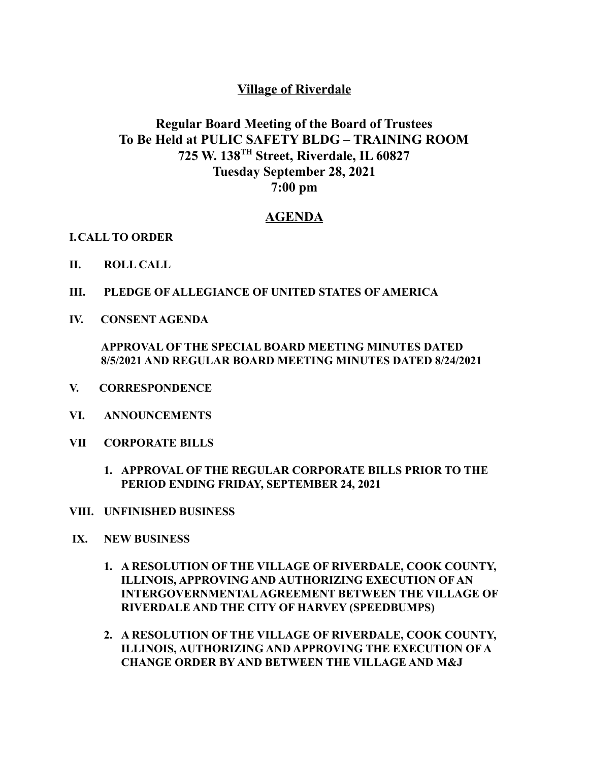## **Village of Riverdale**

## **Regular Board Meeting of the Board of Trustees To Be Held at PULIC SAFETY BLDG – TRAINING ROOM 725 W. 138 TH Street, Riverdale, IL 60827 Tuesday September 28, 2021 7:00 pm**

## **AGENDA**

## **I.CALL TO ORDER**

- **II. ROLL CALL**
- **III. PLEDGE OF ALLEGIANCE OF UNITED STATES OF AMERICA**
- **IV. CONSENT AGENDA**

**APPROVAL OF THE SPECIAL BOARD MEETING MINUTES DATED 8/5/2021 AND REGULAR BOARD MEETING MINUTES DATED 8/24/2021**

- **V. CORRESPONDENCE**
- **VI. ANNOUNCEMENTS**
- **VII CORPORATE BILLS**
	- **1. APPROVAL OF THE REGULAR CORPORATE BILLS PRIOR TO THE PERIOD ENDING FRIDAY, SEPTEMBER 24, 2021**
- **VIII. UNFINISHED BUSINESS**
- **IX. NEW BUSINESS**
	- **1. A RESOLUTION OF THE VILLAGE OF RIVERDALE, COOK COUNTY, ILLINOIS, APPROVING AND AUTHORIZING EXECUTION OF AN INTERGOVERNMENTALAGREEMENT BETWEEN THE VILLAGE OF RIVERDALE AND THE CITY OF HARVEY (SPEEDBUMPS)**
	- **2. A RESOLUTION OF THE VILLAGE OF RIVERDALE, COOK COUNTY, ILLINOIS, AUTHORIZING AND APPROVING THE EXECUTION OF A CHANGE ORDER BY AND BETWEEN THE VILLAGE AND M&J**